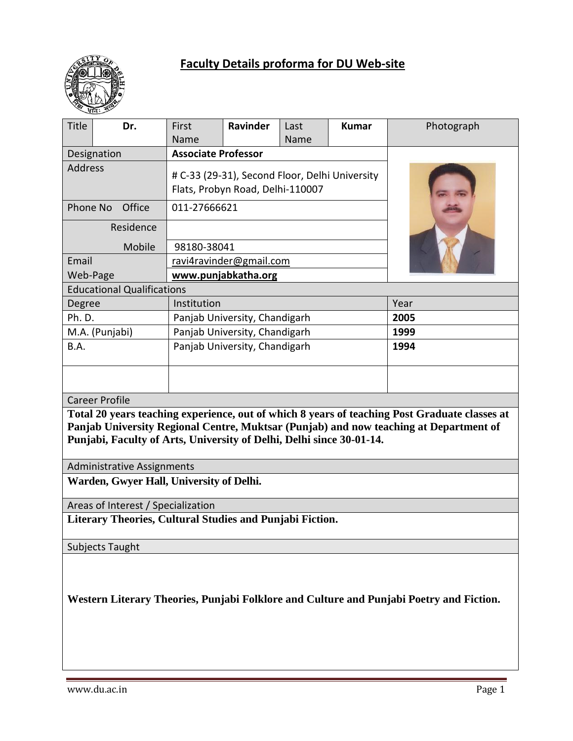

# **Faculty Details proforma for DU Web-site**

|                                                                                                                                                                                                                                                                | ्यात : ॐ       |                                                |          |      |              |            |
|----------------------------------------------------------------------------------------------------------------------------------------------------------------------------------------------------------------------------------------------------------------|----------------|------------------------------------------------|----------|------|--------------|------------|
| <b>Title</b>                                                                                                                                                                                                                                                   | Dr.            | First                                          | Ravinder | Last | <b>Kumar</b> | Photograph |
|                                                                                                                                                                                                                                                                |                | Name                                           |          | Name |              |            |
| Designation                                                                                                                                                                                                                                                    |                | <b>Associate Professor</b>                     |          |      |              |            |
| <b>Address</b>                                                                                                                                                                                                                                                 |                | # C-33 (29-31), Second Floor, Delhi University |          |      |              |            |
|                                                                                                                                                                                                                                                                |                | Flats, Probyn Road, Delhi-110007               |          |      |              |            |
| Phone No<br>Office                                                                                                                                                                                                                                             |                | 011-27666621                                   |          |      |              |            |
| Residence                                                                                                                                                                                                                                                      |                |                                                |          |      |              |            |
| Mobile                                                                                                                                                                                                                                                         |                | 98180-38041                                    |          |      |              |            |
| Email                                                                                                                                                                                                                                                          |                | ravi4ravinder@gmail.com                        |          |      |              |            |
| Web-Page                                                                                                                                                                                                                                                       |                | www.punjabkatha.org                            |          |      |              |            |
| <b>Educational Qualifications</b>                                                                                                                                                                                                                              |                |                                                |          |      |              |            |
| Degree                                                                                                                                                                                                                                                         |                | Institution                                    |          | Year |              |            |
| Ph. D.                                                                                                                                                                                                                                                         |                | Panjab University, Chandigarh                  |          |      |              | 2005       |
|                                                                                                                                                                                                                                                                | M.A. (Punjabi) | Panjab University, Chandigarh                  |          |      |              | 1999       |
| B.A.                                                                                                                                                                                                                                                           |                | Panjab University, Chandigarh                  |          |      |              | 1994       |
|                                                                                                                                                                                                                                                                |                |                                                |          |      |              |            |
|                                                                                                                                                                                                                                                                |                |                                                |          |      |              |            |
| <b>Career Profile</b>                                                                                                                                                                                                                                          |                |                                                |          |      |              |            |
| Total 20 years teaching experience, out of which 8 years of teaching Post Graduate classes at<br>Panjab University Regional Centre, Muktsar (Punjab) and now teaching at Department of<br>Punjabi, Faculty of Arts, University of Delhi, Delhi since 30-01-14. |                |                                                |          |      |              |            |
| <b>Administrative Assignments</b>                                                                                                                                                                                                                              |                |                                                |          |      |              |            |
| Warden, Gwyer Hall, University of Delhi.                                                                                                                                                                                                                       |                |                                                |          |      |              |            |
| Areas of Interest / Specialization                                                                                                                                                                                                                             |                |                                                |          |      |              |            |
| Literary Theories, Cultural Studies and Punjabi Fiction.                                                                                                                                                                                                       |                |                                                |          |      |              |            |
| <b>Subjects Taught</b>                                                                                                                                                                                                                                         |                |                                                |          |      |              |            |
|                                                                                                                                                                                                                                                                |                |                                                |          |      |              |            |
|                                                                                                                                                                                                                                                                |                |                                                |          |      |              |            |
|                                                                                                                                                                                                                                                                |                |                                                |          |      |              |            |

**Western Literary Theories, Punjabi Folklore and Culture and Punjabi Poetry and Fiction.**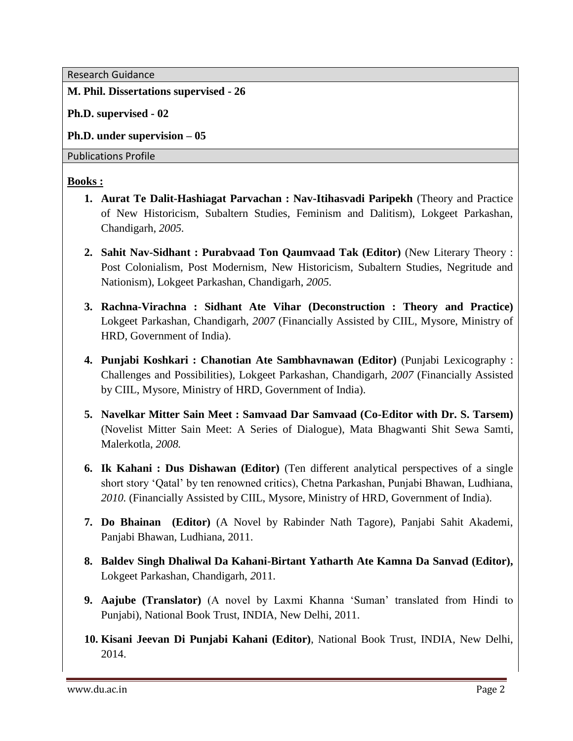Research Guidance

#### **M. Phil. Dissertations supervised - 26**

**Ph.D. supervised - 02**

**Ph.D. under supervision – 05**

Publications Profile

#### **Books :**

- **1. Aurat Te Dalit-Hashiagat Parvachan : Nav-Itihasvadi Paripekh** (Theory and Practice of New Historicism, Subaltern Studies, Feminism and Dalitism), Lokgeet Parkashan, Chandigarh, *2005.*
- **2. Sahit Nav-Sidhant : Purabvaad Ton Qaumvaad Tak (Editor)** (New Literary Theory : Post Colonialism, Post Modernism, New Historicism, Subaltern Studies, Negritude and Nationism), Lokgeet Parkashan, Chandigarh, *2005.*
- **3. Rachna-Virachna : Sidhant Ate Vihar (Deconstruction : Theory and Practice)** Lokgeet Parkashan, Chandigarh, *2007* (Financially Assisted by CIIL, Mysore, Ministry of HRD, Government of India).
- **4. Punjabi Koshkari : Chanotian Ate Sambhavnawan (Editor)** (Punjabi Lexicography : Challenges and Possibilities), Lokgeet Parkashan, Chandigarh, *2007* (Financially Assisted by CIIL, Mysore, Ministry of HRD, Government of India).
- **5. Navelkar Mitter Sain Meet : Samvaad Dar Samvaad (Co-Editor with Dr. S. Tarsem)**  (Novelist Mitter Sain Meet: A Series of Dialogue), Mata Bhagwanti Shit Sewa Samti, Malerkotla, *2008.*
- **6. Ik Kahani : Dus Dishawan (Editor)** (Ten different analytical perspectives of a single short story 'Qatal' by ten renowned critics), Chetna Parkashan, Punjabi Bhawan, Ludhiana, *2010.* (Financially Assisted by CIIL, Mysore, Ministry of HRD, Government of India).
- **7. Do Bhainan (Editor)** (A Novel by Rabinder Nath Tagore), Panjabi Sahit Akademi, Panjabi Bhawan, Ludhiana, 2011.
- **8. Baldev Singh Dhaliwal Da Kahani-Birtant Yatharth Ate Kamna Da Sanvad (Editor),**  Lokgeet Parkashan, Chandigarh, *2*011.
- **9. Aajube (Translator)** (A novel by Laxmi Khanna 'Suman' translated from Hindi to Punjabi), National Book Trust, INDIA, New Delhi, 2011.
- **10. Kisani Jeevan Di Punjabi Kahani (Editor)**, National Book Trust, INDIA, New Delhi, 2014.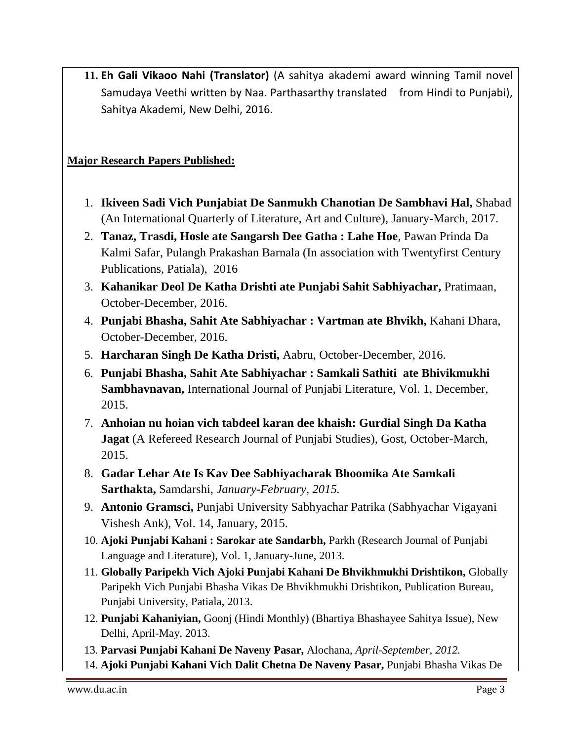**11. Eh Gali Vikaoo Nahi (Translator)** (A sahitya akademi award winning Tamil novel Samudaya Veethi written by Naa. Parthasarthy translated from Hindi to Punjabi), Sahitya Akademi, New Delhi, 2016.

## **Major Research Papers Published:**

- 1. **Ikiveen Sadi Vich Punjabiat De Sanmukh Chanotian De Sambhavi Hal,** Shabad (An International Quarterly of Literature, Art and Culture), January-March, 2017.
- 2. **Tanaz, Trasdi, Hosle ate Sangarsh Dee Gatha : Lahe Hoe**, Pawan Prinda Da Kalmi Safar, Pulangh Prakashan Barnala (In association with Twentyfirst Century Publications, Patiala), 2016
- 3. **Kahanikar Deol De Katha Drishti ate Punjabi Sahit Sabhiyachar,** Pratimaan, October-December, 2016.
- 4. **Punjabi Bhasha, Sahit Ate Sabhiyachar : Vartman ate Bhvikh,** Kahani Dhara, October-December, 2016.
- 5. **Harcharan Singh De Katha Dristi,** Aabru, October-December, 2016.
- 6. **Punjabi Bhasha, Sahit Ate Sabhiyachar : Samkali Sathiti ate Bhivikmukhi Sambhavnavan,** International Journal of Punjabi Literature, Vol. 1, December, 2015.
- 7. **Anhoian nu hoian vich tabdeel karan dee khaish: Gurdial Singh Da Katha Jagat** (A Refereed Research Journal of Punjabi Studies), Gost, October-March, 2015.
- 8. **Gadar Lehar Ate Is Kav Dee Sabhiyacharak Bhoomika Ate Samkali Sarthakta,** Samdarshi, *January-February, 2015.*
- 9. **Antonio Gramsci,** Punjabi University Sabhyachar Patrika (Sabhyachar Vigayani Vishesh Ank), Vol. 14, January, 2015.
- 10. **Ajoki Punjabi Kahani : Sarokar ate Sandarbh,** Parkh (Research Journal of Punjabi Language and Literature), Vol. 1, January-June, 2013.
- 11. **Globally Paripekh Vich Ajoki Punjabi Kahani De Bhvikhmukhi Drishtikon,** Globally Paripekh Vich Punjabi Bhasha Vikas De Bhvikhmukhi Drishtikon, Publication Bureau, Punjabi University, Patiala, 2013.
- 12. **Punjabi Kahaniyian,** Goonj (Hindi Monthly) (Bhartiya Bhashayee Sahitya Issue), New Delhi, April-May, 2013.
- 13. **Parvasi Punjabi Kahani De Naveny Pasar,** Alochana, *April-September, 2012.*
- 14. **Ajoki Punjabi Kahani Vich Dalit Chetna De Naveny Pasar,** Punjabi Bhasha Vikas De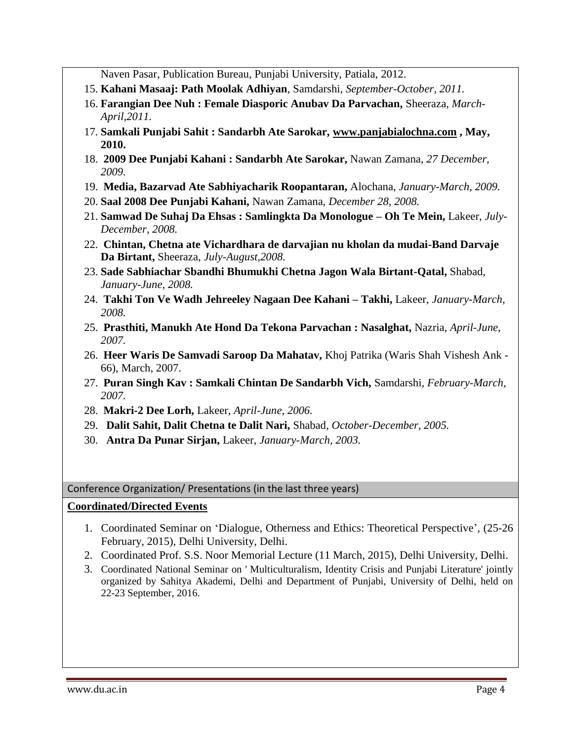Naven Pasar, Publication Bureau, Punjabi University, Patiala, 2012.

- 15. **Kahani Masaaj: Path Moolak Adhiyan**, Samdarshi, *September-October, 2011.*
- 16. **Farangian Dee Nuh : Female Diasporic Anubav Da Parvachan,** Sheeraza, *March-April,2011.*
- 17. **Samkali Punjabi Sahit : Sandarbh Ate Sarokar, [www.panjabialochna.com](http://www.panjabialochna.com/) , May, 2010.**
- 18. **2009 Dee Punjabi Kahani : Sandarbh Ate Sarokar,** Nawan Zamana, *27 December, 2009.*
- 19. **Media, Bazarvad Ate Sabhiyacharik Roopantaran,** Alochana, *January-March, 2009.*
- 20. **Saal 2008 Dee Punjabi Kahani,** Nawan Zamana, *December 28, 2008.*
- 21. **Samwad De Suhaj Da Ehsas : Samlingkta Da Monologue – Oh Te Mein,** Lakeer, *July-December, 2008.*
- 22. **Chintan, Chetna ate Vichardhara de darvajian nu kholan da mudai-Band Darvaje Da Birtant,** Sheeraza, *July-August,2008.*
- 23. **Sade Sabhiachar Sbandhi Bhumukhi Chetna Jagon Wala Birtant-Qatal,** Shabad, *January-June, 2008.*
- 24. **Takhi Ton Ve Wadh Jehreeley Nagaan Dee Kahani – Takhi,** Lakeer, *January-March, 2008.*
- 25. **Prasthiti, Manukh Ate Hond Da Tekona Parvachan : Nasalghat,** Nazria, *April-June, 2007.*
- 26. **Heer Waris De Samvadi Saroop Da Mahatav,** Khoj Patrika (Waris Shah Vishesh Ank 66), March, 2007.
- 27. **Puran Singh Kav : Samkali Chintan De Sandarbh Vich,** Samdarshi, *February-March, 2007.*
- 28. **Makri-2 Dee Lorh,** Lakeer, *April-June, 2006.*
- 29. **Dalit Sahit, Dalit Chetna te Dalit Nari,** Shabad, *October-December, 2005.*
- 30. **Antra Da Punar Sirjan,** Lakeer, *January-March, 2003.*

Conference Organization/ Presentations (in the last three years)

### **Coordinated/Directed Events**

- 1. Coordinated Seminar on 'Dialogue, Otherness and Ethics: Theoretical Perspective', (25-26 February, 2015), Delhi University, Delhi.
- 2. Coordinated Prof. S.S. Noor Memorial Lecture (11 March, 2015), Delhi University, Delhi.
- 3. Coordinated National Seminar on ' Multiculturalism, Identity Crisis and Punjabi Literature' jointly organized by Sahitya Akademi, Delhi and Department of Punjabi, University of Delhi, held on 22-23 September, 2016.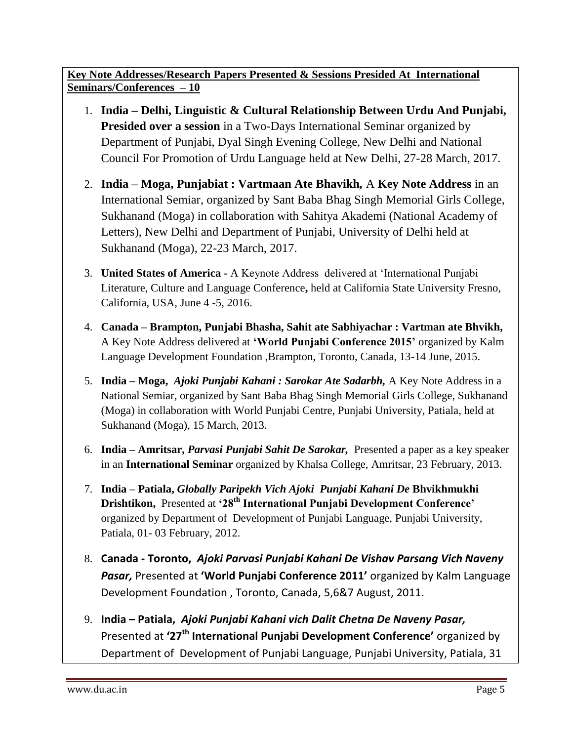**Key Note Addresses/Research Papers Presented & Sessions Presided At International Seminars/Conferences – 10**

- 1. **India – Delhi, Linguistic & Cultural Relationship Between Urdu And Punjabi, Presided over a session** in a Two-Days International Seminar organized by Department of Punjabi, Dyal Singh Evening College, New Delhi and National Council For Promotion of Urdu Language held at New Delhi, 27-28 March, 2017.
- 2. **India – Moga, Punjabiat : Vartmaan Ate Bhavikh***,* A **Key Note Address** in an International Semiar, organized by Sant Baba Bhag Singh Memorial Girls College, Sukhanand (Moga) in collaboration with Sahitya Akademi (National Academy of Letters), New Delhi and Department of Punjabi, University of Delhi held at Sukhanand (Moga), 22-23 March, 2017.
- 3. **United States of America -** A Keynote Address delivered at 'International Punjabi Literature, Culture and Language Conference**,** held at California State University Fresno, California, USA, June 4 -5, 2016.
- 4. **Canada – Brampton, Punjabi Bhasha, Sahit ate Sabhiyachar : Vartman ate Bhvikh,**  A Key Note Address delivered at **'World Punjabi Conference 2015'** organized by Kalm Language Development Foundation ,Brampton, Toronto, Canada, 13-14 June, 2015.
- 5. **India – Moga,** *Ajoki Punjabi Kahani : Sarokar Ate Sadarbh,* A Key Note Address in a National Semiar, organized by Sant Baba Bhag Singh Memorial Girls College, Sukhanand (Moga) in collaboration with World Punjabi Centre, Punjabi University, Patiala, held at Sukhanand (Moga), 15 March, 2013.
- 6. **India – Amritsar,** *Parvasi Punjabi Sahit De Sarokar,* Presented a paper as a key speaker in an **International Seminar** organized by Khalsa College, Amritsar, 23 February, 2013.
- 7. **India – Patiala,** *Globally Paripekh Vich Ajoki Punjabi Kahani De* **Bhvikhmukhi Drishtikon,** Presented at **'28th International Punjabi Development Conference'** organized by Department of Development of Punjabi Language, Punjabi University, Patiala, 01- 03 February, 2012.
- 8. **Canada - Toronto,** *Ajoki Parvasi Punjabi Kahani De Vishav Parsang Vich Naveny Pasar,* Presented at **'World Punjabi Conference 2011'** organized by Kalm Language Development Foundation , Toronto, Canada, 5,6&7 August, 2011.
- 9. **India – Patiala,** *Ajoki Punjabi Kahani vich Dalit Chetna De Naveny Pasar,* Presented at **'27th International Punjabi Development Conference'** organized by Department of Development of Punjabi Language, Punjabi University, Patiala, 31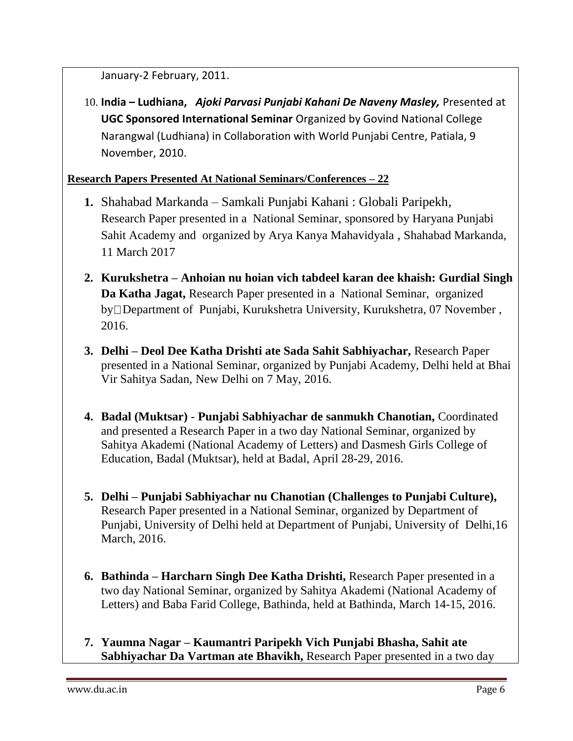January-2 February, 2011.

10. **India – Ludhiana,** *Ajoki Parvasi Punjabi Kahani De Naveny Masley,* Presented at **UGC Sponsored International Seminar** Organized by Govind National College Narangwal (Ludhiana) in Collaboration with World Punjabi Centre, Patiala, 9 November, 2010.

# **Research Papers Presented At National Seminars/Conferences – 22**

- **1.** Shahabad Markanda Samkali Punjabi Kahani : Globali Paripekh, Research Paper presented in a National Seminar, sponsored by Haryana Punjabi Sahit Academy and organized by Arya Kanya Mahavidyala , Shahabad Markanda, 11 March 2017
- **2. Kurukshetra – Anhoian nu hoian vich tabdeel karan dee khaish: Gurdial Singh Da Katha Jagat,** Research Paper presented in a National Seminar, organized by Department of Punjabi, Kurukshetra University, Kurukshetra, 07 November , 2016.
- **3. Delhi – Deol Dee Katha Drishti ate Sada Sahit Sabhiyachar,** Research Paper presented in a National Seminar, organized by Punjabi Academy, Delhi held at Bhai Vir Sahitya Sadan, New Delhi on 7 May, 2016.
- **4. Badal (Muktsar) Punjabi Sabhiyachar de sanmukh Chanotian,** Coordinated and presented a Research Paper in a two day National Seminar, organized by Sahitya Akademi (National Academy of Letters) and Dasmesh Girls College of Education, Badal (Muktsar), held at Badal, April 28-29, 2016.
- **5. Delhi – Punjabi Sabhiyachar nu Chanotian (Challenges to Punjabi Culture),** Research Paper presented in a National Seminar, organized by Department of Punjabi, University of Delhi held at Department of Punjabi, University of Delhi,16 March, 2016.
- **6. Bathinda – Harcharn Singh Dee Katha Drishti,** Research Paper presented in a two day National Seminar, organized by Sahitya Akademi (National Academy of Letters) and Baba Farid College, Bathinda, held at Bathinda, March 14-15, 2016.
- **7. Yaumna Nagar – Kaumantri Paripekh Vich Punjabi Bhasha, Sahit ate Sabhiyachar Da Vartman ate Bhavikh,** Research Paper presented in a two day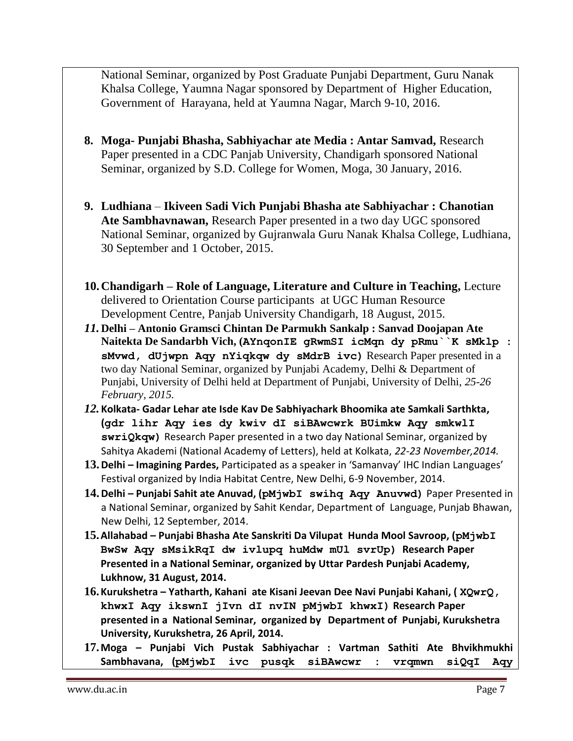National Seminar, organized by Post Graduate Punjabi Department, Guru Nanak Khalsa College, Yaumna Nagar sponsored by Department of Higher Education, Government of Harayana, held at Yaumna Nagar, March 9-10, 2016.

- **8. Moga- Punjabi Bhasha, Sabhiyachar ate Media : Antar Samvad,** Research Paper presented in a CDC Panjab University, Chandigarh sponsored National Seminar, organized by S.D. College for Women, Moga, 30 January, 2016.
- **9. Ludhiana Ikiveen Sadi Vich Punjabi Bhasha ate Sabhiyachar : Chanotian Ate Sambhavnawan,** Research Paper presented in a two day UGC sponsored National Seminar, organized by Gujranwala Guru Nanak Khalsa College, Ludhiana, 30 September and 1 October, 2015.
- **10.Chandigarh – Role of Language, Literature and Culture in Teaching,** Lecture delivered to Orientation Course participants at UGC Human Resource Development Centre, Panjab University Chandigarh, 18 August, 2015.
- *11.* **Delhi – Antonio Gramsci Chintan De Parmukh Sankalp : Sanvad Doojapan Ate Naitekta De Sandarbh Vich, (AYnqonIE gRwmSI icMqn dy pRmu``K sMklp : sMvwd, dUjwpn Aqy nYiqkqw dy sMdrB ivc)** Research Paper presented in a two day National Seminar, organized by Punjabi Academy, Delhi & Department of Punjabi, University of Delhi held at Department of Punjabi, University of Delhi, *25-26 February, 2015.*
- *12.* **Kolkata- Gadar Lehar ate Isde Kav De Sabhiyachark Bhoomika ate Samkali Sarthkta, (gdr lihr Aqy ies dy kwiv dI siBAwcwrk BUimkw Aqy smkwlI swriQkqw)** Research Paper presented in a two day National Seminar, organized by Sahitya Akademi (National Academy of Letters), held at Kolkata, *22-23 November,2014.*
- **13.Delhi – Imagining Pardes,** Participated as a speaker in 'Samanvay' IHC Indian Languages' Festival organized by India Habitat Centre, New Delhi, 6-9 November, 2014.
- **14.Delhi – Punjabi Sahit ate Anuvad, (pMjwbI swihq Aqy Anuvwd)** Paper Presented in a National Seminar, organized by Sahit Kendar, Department of Language, Punjab Bhawan, New Delhi, 12 September, 2014.
- **15.Allahabad – Punjabi Bhasha Ate Sanskriti Da Vilupat Hunda Mool Savroop, (pMjwbI BwSw Aqy sMsikRqI dw ivlupq huMdw mUl svrUp) Research Paper Presented in a National Seminar, organized by Uttar Pardesh Punjabi Academy, Lukhnow, 31 August, 2014.**
- **16.Kurukshetra – Yatharth, Kahani ate Kisani Jeevan Dee Navi Punjabi Kahani, ( XQwrQ, khwxI Aqy ikswnI jIvn dI nvIN pMjwbI khwxI) Research Paper presented in a National Seminar, organized by Department of Punjabi, Kurukshetra University, Kurukshetra, 26 April, 2014.**
- **17.Moga – Punjabi Vich Pustak Sabhiyachar : Vartman Sathiti Ate Bhvikhmukhi Sambhavana, (pMjwbI ivc pusqk siBAwcwr : vrqmwn siQqI Aqy**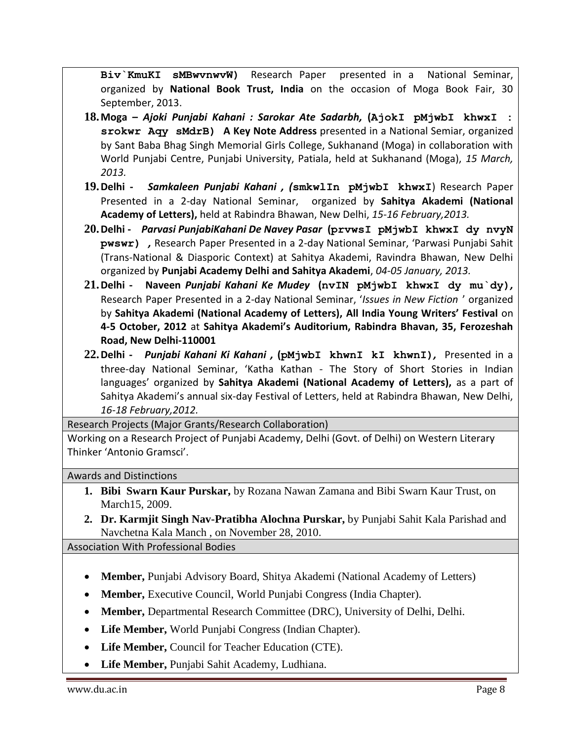**Biv`KmuKI sMBwvnwvW)** Research Paper presented in a National Seminar, organized by **National Book Trust, India** on the occasion of Moga Book Fair, 30 September, 2013.

- **18.Moga –** *Ajoki Punjabi Kahani : Sarokar Ate Sadarbh,* **(AjokI pMjwbI khwxI : srokwr Aqy sMdrB) A Key Note Address** presented in a National Semiar, organized by Sant Baba Bhag Singh Memorial Girls College, Sukhanand (Moga) in collaboration with World Punjabi Centre, Punjabi University, Patiala, held at Sukhanand (Moga), *15 March, 2013.*
- **19.Delhi** *Samkaleen Punjabi Kahani , (***smkwlIn pMjwbI khwxI**) Research Paper Presented in a 2-day National Seminar, organized by **Sahitya Akademi (National Academy of Letters),** held at Rabindra Bhawan, New Delhi, *15-16 February,2013.*
- **20.Delhi** *Parvasi PunjabiKahani De Navey Pasar* **(prvwsI pMjwbI khwxI dy nvyN pwswr)** *,* Research Paper Presented in a 2-day National Seminar, 'Parwasi Punjabi Sahit (Trans-National & Diasporic Context) at Sahitya Akademi, Ravindra Bhawan, New Delhi organized by **Punjabi Academy Delhi and Sahitya Akademi**, *04-05 January, 2013.*
- **21.Delhi Naveen** *Punjabi Kahani Ke Mudey* **(nvIN pMjwbI khwxI dy mu`dy)***,*  Research Paper Presented in a 2-day National Seminar, '*Issues in New Fiction* ' organized by **Sahitya Akademi (National Academy of Letters), All India Young Writers' Festival** on **4-5 October, 2012** at **Sahitya Akademi's Auditorium, Rabindra Bhavan, 35, Ferozeshah Road, New Delhi-110001**
- **22.Delhi** *Punjabi Kahani Ki Kahani ,* **(pMjwbI khwnI kI khwnI)***,* Presented in a three-day National Seminar, 'Katha Kathan - The Story of Short Stories in Indian languages' organized by **Sahitya Akademi (National Academy of Letters),** as a part of Sahitya Akademi's annual six-day Festival of Letters, held at Rabindra Bhawan, New Delhi, *16-18 February,2012.*

Research Projects (Major Grants/Research Collaboration)

Working on a Research Project of Punjabi Academy, Delhi (Govt. of Delhi) on Western Literary Thinker 'Antonio Gramsci'.

Awards and Distinctions

- **1. Bibi Swarn Kaur Purskar,** by Rozana Nawan Zamana and Bibi Swarn Kaur Trust, on March15, 2009.
- **2. Dr. Karmjit Singh Nav-Pratibha Alochna Purskar,** by Punjabi Sahit Kala Parishad and Navchetna Kala Manch , on November 28, 2010.

Association With Professional Bodies

- **Member,** Punjabi Advisory Board, Shitya Akademi (National Academy of Letters)
- **Member,** Executive Council, World Punjabi Congress (India Chapter).
- **Member,** Departmental Research Committee (DRC), University of Delhi, Delhi.
- **Life Member,** World Punjabi Congress (Indian Chapter).
- **Life Member,** Council for Teacher Education (CTE).
- **Life Member,** Punjabi Sahit Academy, Ludhiana.